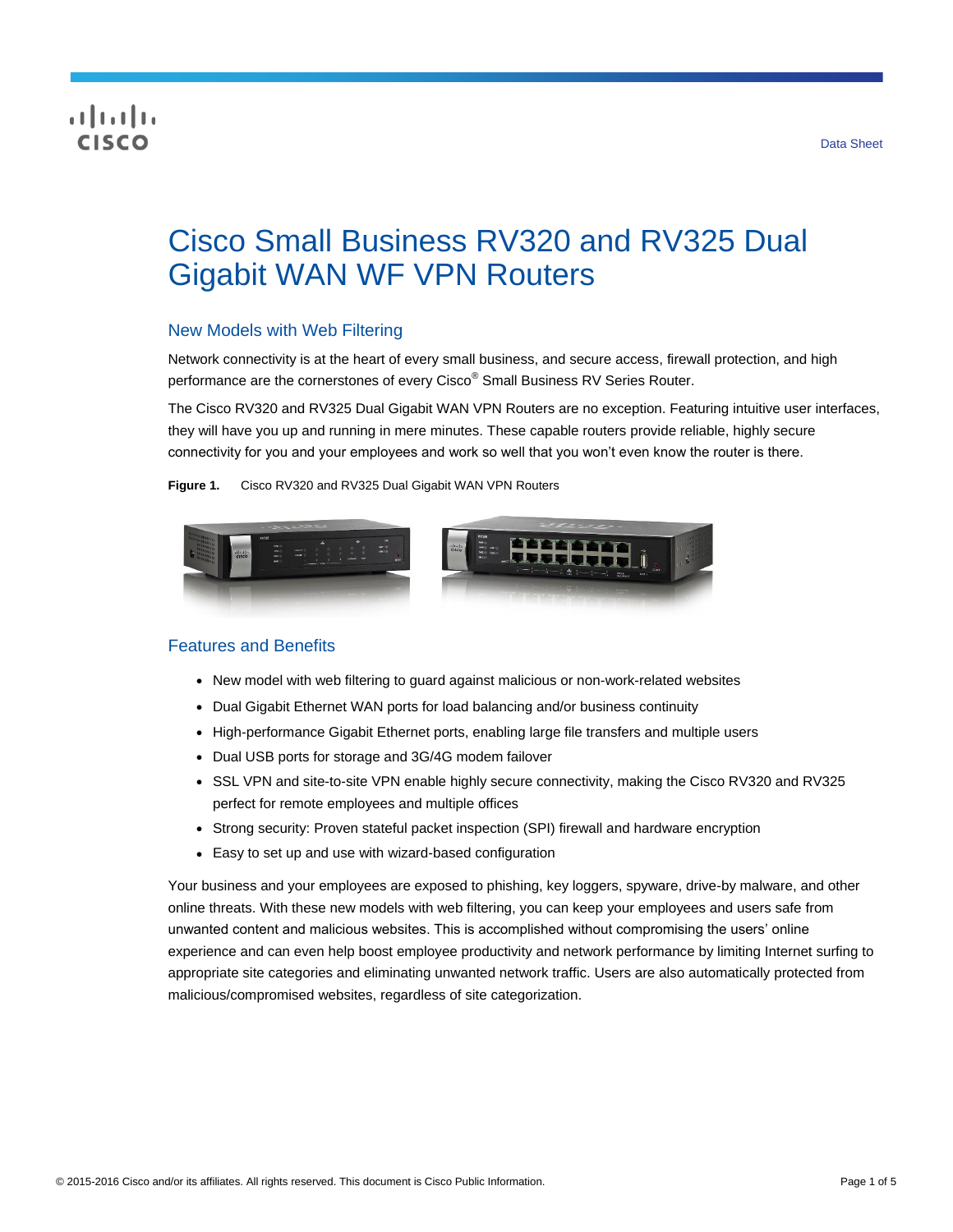# CISCO

# Cisco Small Business RV320 and RV325 Dual Gigabit WAN WF VPN Routers

### New Models with Web Filtering

Network connectivity is at the heart of every small business, and secure access, firewall protection, and high performance are the cornerstones of every Cisco® Small Business RV Series Router.

The Cisco RV320 and RV325 Dual Gigabit WAN VPN Routers are no exception. Featuring intuitive user interfaces, they will have you up and running in mere minutes. These capable routers provide reliable, highly secure connectivity for you and your employees and work so well that you won't even know the router is there.

**Figure 1.** Cisco RV320 and RV325 Dual Gigabit WAN VPN Routers



# Features and Benefits

- New model with web filtering to guard against malicious or non-work-related websites
- Dual Gigabit Ethernet WAN ports for load balancing and/or business continuity
- High-performance Gigabit Ethernet ports, enabling large file transfers and multiple users
- Dual USB ports for storage and 3G/4G modem failover
- SSL VPN and site-to-site VPN enable highly secure connectivity, making the Cisco RV320 and RV325 perfect for remote employees and multiple offices
- Strong security: Proven stateful packet inspection (SPI) firewall and hardware encryption
- Easy to set up and use with wizard-based configuration

Your business and your employees are exposed to phishing, key loggers, spyware, drive-by malware, and other online threats. With these new models with web filtering, you can keep your employees and users safe from unwanted content and malicious websites. This is accomplished without compromising the users' online experience and can even help boost employee productivity and network performance by limiting Internet surfing to appropriate site categories and eliminating unwanted network traffic. Users are also automatically protected from malicious/compromised websites, regardless of site categorization.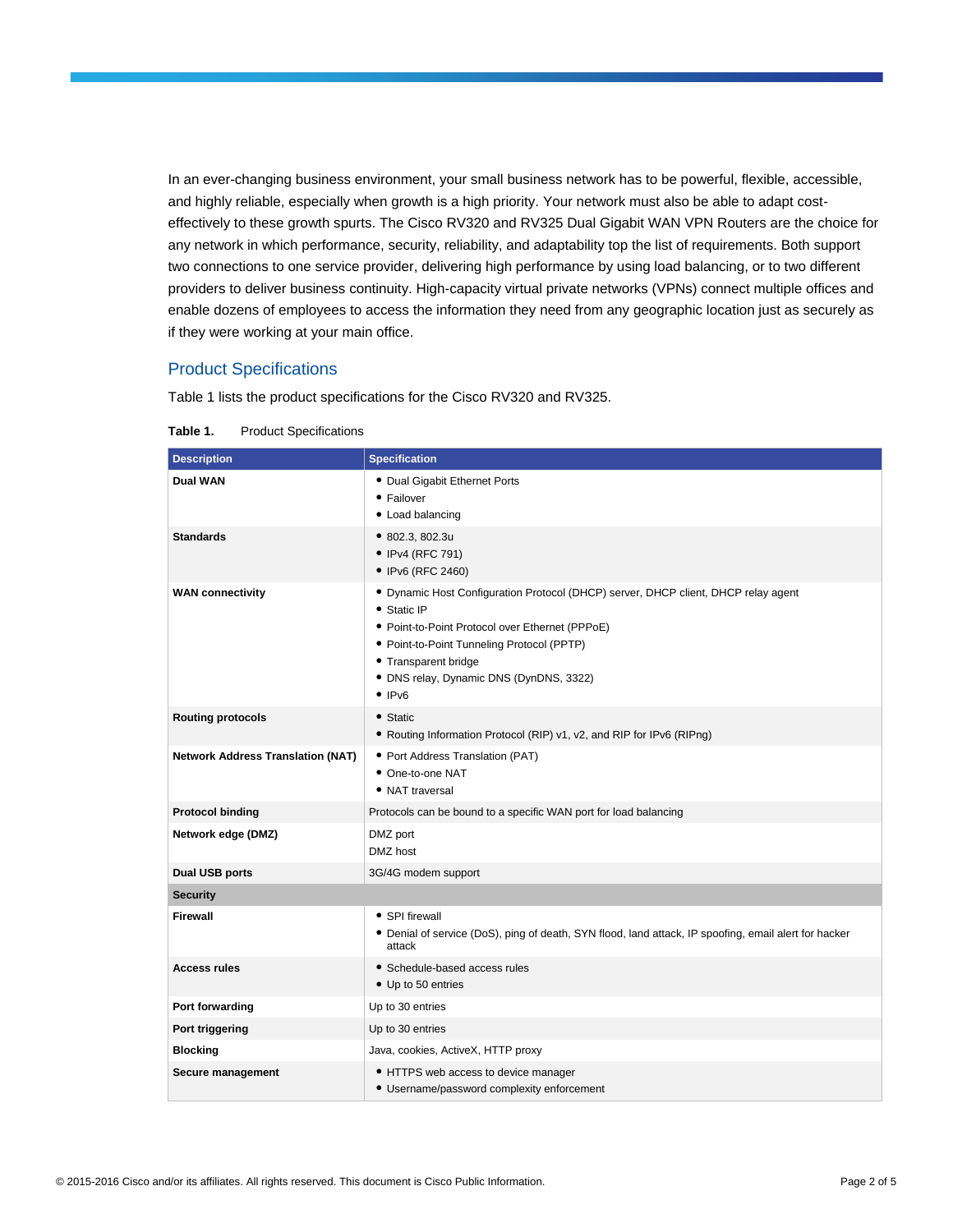In an ever-changing business environment, your small business network has to be powerful, flexible, accessible, and highly reliable, especially when growth is a high priority. Your network must also be able to adapt costeffectively to these growth spurts. The Cisco RV320 and RV325 Dual Gigabit WAN VPN Routers are the choice for any network in which performance, security, reliability, and adaptability top the list of requirements. Both support two connections to one service provider, delivering high performance by using load balancing, or to two different providers to deliver business continuity. High-capacity virtual private networks (VPNs) connect multiple offices and enable dozens of employees to access the information they need from any geographic location just as securely as if they were working at your main office.

#### Product Specifications

Table 1 lists the product specifications for the Cisco RV320 and RV325.

| <b>Description</b>                       | <b>Specification</b>                                                                                                                                                                                                                                                                                |  |  |  |
|------------------------------------------|-----------------------------------------------------------------------------------------------------------------------------------------------------------------------------------------------------------------------------------------------------------------------------------------------------|--|--|--|
| <b>Dual WAN</b>                          | • Dual Gigabit Ethernet Ports<br>• Failover<br>• Load balancing                                                                                                                                                                                                                                     |  |  |  |
| <b>Standards</b>                         | • 802.3, 802.3u<br>• IPv4 (RFC 791)<br>• IPv6 (RFC 2460)                                                                                                                                                                                                                                            |  |  |  |
| <b>WAN connectivity</b>                  | • Dynamic Host Configuration Protocol (DHCP) server, DHCP client, DHCP relay agent<br>• Static IP<br>· Point-to-Point Protocol over Ethernet (PPPoE)<br>• Point-to-Point Tunneling Protocol (PPTP)<br>• Transparent bridge<br>• DNS relay, Dynamic DNS (DynDNS, 3322)<br>$\bullet$ IP <sub>V6</sub> |  |  |  |
| <b>Routing protocols</b>                 | • Static<br>• Routing Information Protocol (RIP) v1, v2, and RIP for IPv6 (RIPng)                                                                                                                                                                                                                   |  |  |  |
| <b>Network Address Translation (NAT)</b> | • Port Address Translation (PAT)<br>• One-to-one NAT<br>• NAT traversal                                                                                                                                                                                                                             |  |  |  |
| <b>Protocol binding</b>                  | Protocols can be bound to a specific WAN port for load balancing                                                                                                                                                                                                                                    |  |  |  |
| Network edge (DMZ)                       | DMZ port<br>DMZ host                                                                                                                                                                                                                                                                                |  |  |  |
| Dual USB ports                           | 3G/4G modem support                                                                                                                                                                                                                                                                                 |  |  |  |
| <b>Security</b>                          |                                                                                                                                                                                                                                                                                                     |  |  |  |
| Firewall                                 | • SPI firewall<br>• Denial of service (DoS), ping of death, SYN flood, land attack, IP spoofing, email alert for hacker<br>attack                                                                                                                                                                   |  |  |  |
| <b>Access rules</b>                      | • Schedule-based access rules<br>• Up to 50 entries                                                                                                                                                                                                                                                 |  |  |  |
| Port forwarding                          | Up to 30 entries                                                                                                                                                                                                                                                                                    |  |  |  |
| Port triggering                          | Up to 30 entries                                                                                                                                                                                                                                                                                    |  |  |  |
| <b>Blocking</b>                          | Java, cookies, ActiveX, HTTP proxy                                                                                                                                                                                                                                                                  |  |  |  |
| Secure management                        | • HTTPS web access to device manager<br>• Username/password complexity enforcement                                                                                                                                                                                                                  |  |  |  |

#### **Table 1.** Product Specifications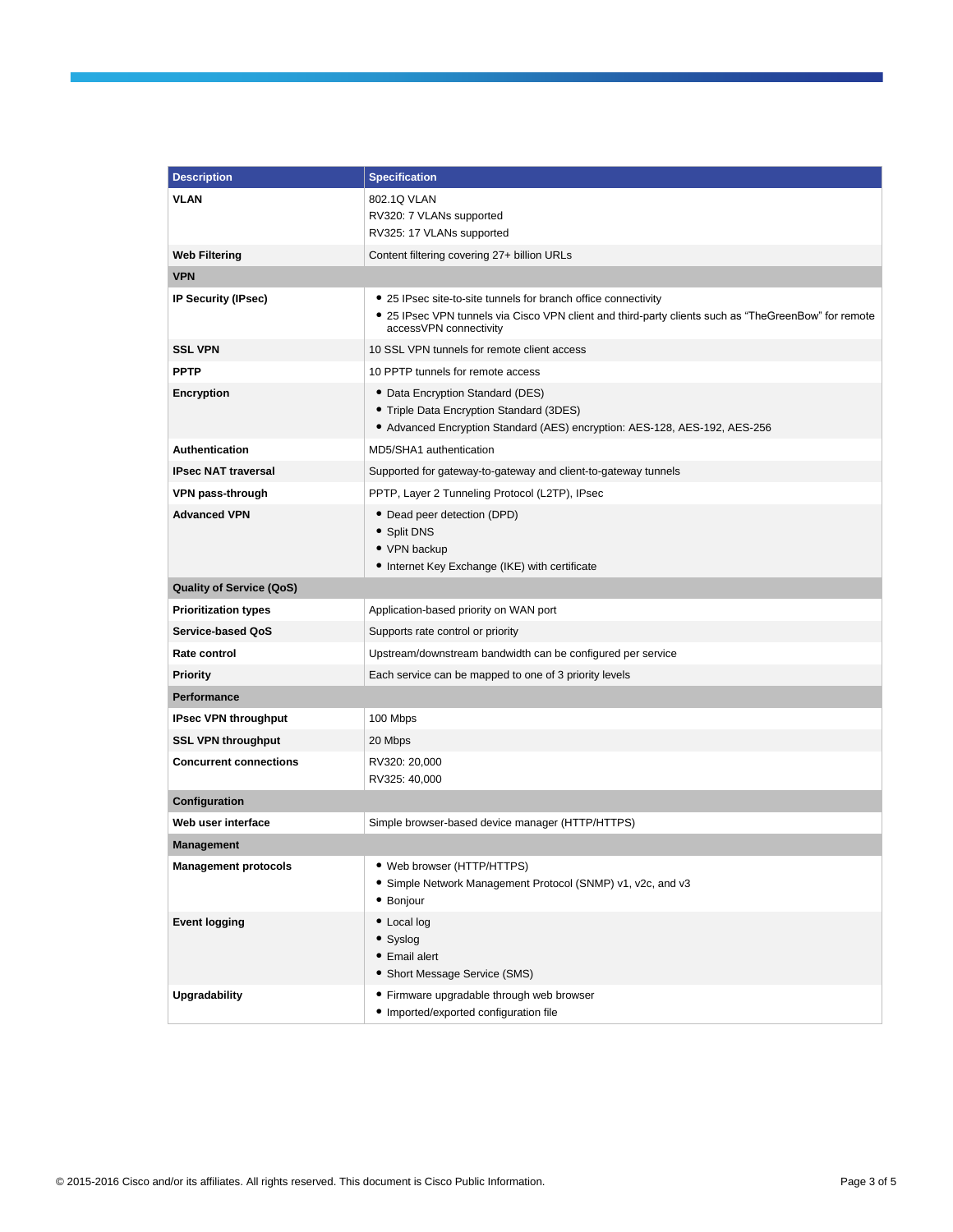| <b>Description</b>                      | <b>Specification</b>                                                                                                                                                                             |  |  |
|-----------------------------------------|--------------------------------------------------------------------------------------------------------------------------------------------------------------------------------------------------|--|--|
| <b>VLAN</b>                             | 802.1Q VLAN                                                                                                                                                                                      |  |  |
|                                         | RV320: 7 VLANs supported                                                                                                                                                                         |  |  |
|                                         | RV325: 17 VLANs supported                                                                                                                                                                        |  |  |
| <b>Web Filtering</b>                    | Content filtering covering 27+ billion URLs                                                                                                                                                      |  |  |
| <b>VPN</b>                              |                                                                                                                                                                                                  |  |  |
| IP Security (IPsec)                     | • 25 IPsec site-to-site tunnels for branch office connectivity<br>• 25 IPsec VPN tunnels via Cisco VPN client and third-party clients such as "TheGreenBow" for remote<br>accessVPN connectivity |  |  |
| <b>SSL VPN</b>                          | 10 SSL VPN tunnels for remote client access                                                                                                                                                      |  |  |
| <b>PPTP</b>                             | 10 PPTP tunnels for remote access                                                                                                                                                                |  |  |
| Encryption                              | • Data Encryption Standard (DES)<br>• Triple Data Encryption Standard (3DES)<br>• Advanced Encryption Standard (AES) encryption: AES-128, AES-192, AES-256                                       |  |  |
| Authentication                          | MD5/SHA1 authentication                                                                                                                                                                          |  |  |
| <b>IPsec NAT traversal</b>              | Supported for gateway-to-gateway and client-to-gateway tunnels                                                                                                                                   |  |  |
| VPN pass-through                        | PPTP, Layer 2 Tunneling Protocol (L2TP), IPsec                                                                                                                                                   |  |  |
| <b>Advanced VPN</b>                     | • Dead peer detection (DPD)<br>• Split DNS<br>• VPN backup<br>• Internet Key Exchange (IKE) with certificate                                                                                     |  |  |
| <b>Quality of Service (QoS)</b>         |                                                                                                                                                                                                  |  |  |
| <b>Prioritization types</b>             | Application-based priority on WAN port                                                                                                                                                           |  |  |
| Service-based QoS                       | Supports rate control or priority                                                                                                                                                                |  |  |
| Rate control                            | Upstream/downstream bandwidth can be configured per service                                                                                                                                      |  |  |
| <b>Priority</b>                         | Each service can be mapped to one of 3 priority levels                                                                                                                                           |  |  |
| <b>Performance</b>                      |                                                                                                                                                                                                  |  |  |
| <b>IPsec VPN throughput</b>             | 100 Mbps                                                                                                                                                                                         |  |  |
| <b>SSL VPN throughput</b>               | 20 Mbps                                                                                                                                                                                          |  |  |
| <b>Concurrent connections</b>           | RV320: 20,000                                                                                                                                                                                    |  |  |
|                                         | RV325: 40,000                                                                                                                                                                                    |  |  |
| Configuration                           | Simple browser-based device manager (HTTP/HTTPS)                                                                                                                                                 |  |  |
| Web user interface<br><b>Management</b> |                                                                                                                                                                                                  |  |  |
|                                         | • Web browser (HTTP/HTTPS)                                                                                                                                                                       |  |  |
| <b>Management protocols</b>             | • Simple Network Management Protocol (SNMP) v1, v2c, and v3<br>• Bonjour                                                                                                                         |  |  |
| <b>Event logging</b>                    | • Local log<br>• Syslog<br>• Email alert<br>• Short Message Service (SMS)                                                                                                                        |  |  |
| <b>Upgradability</b>                    | • Firmware upgradable through web browser<br>· Imported/exported configuration file                                                                                                              |  |  |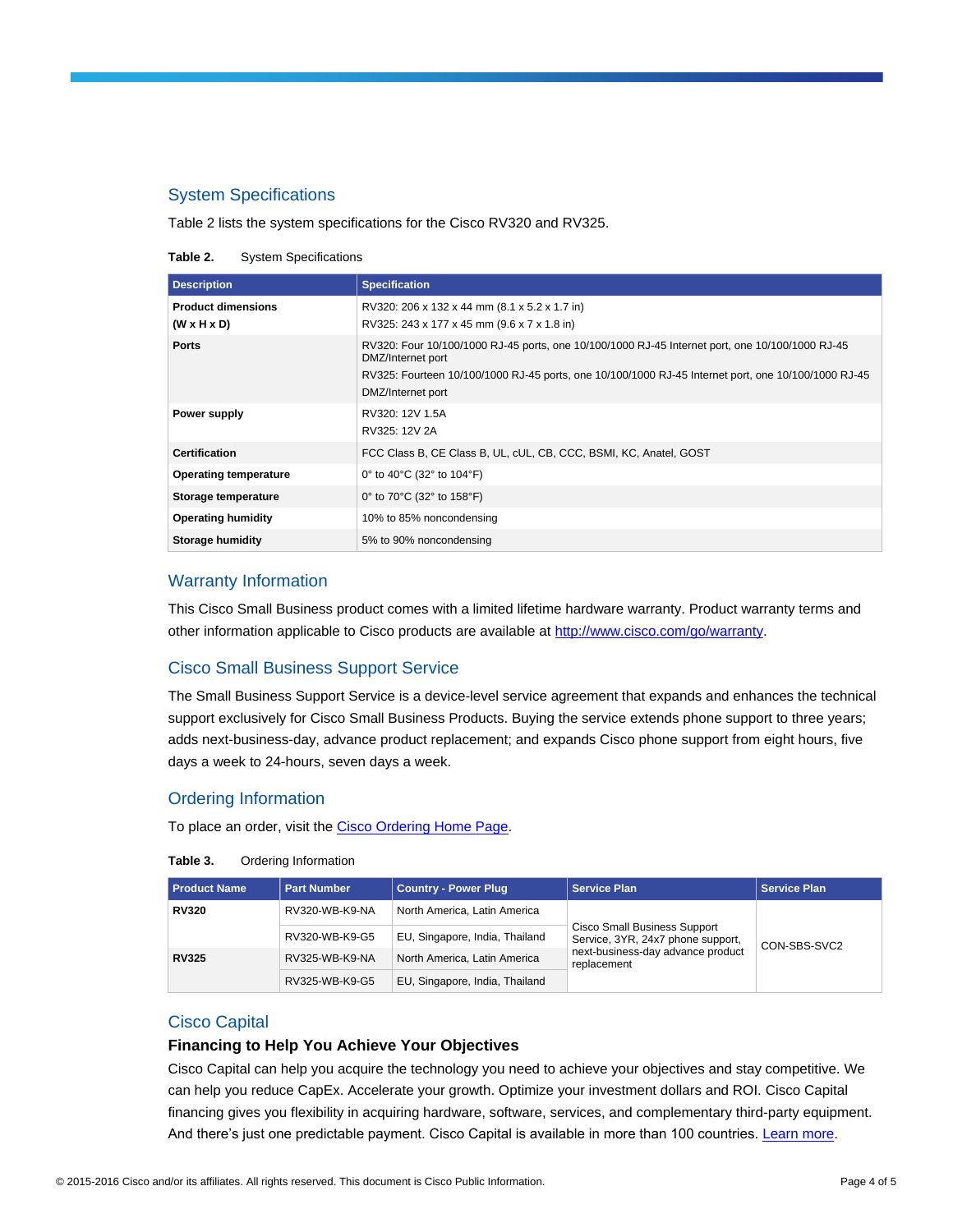# System Specifications

Table 2 lists the system specifications for the Cisco RV320 and RV325.

**Table 2.** System Specifications

| <b>Description</b>                                   | <b>Specification</b>                                                                                                                                                                                                                             |  |  |
|------------------------------------------------------|--------------------------------------------------------------------------------------------------------------------------------------------------------------------------------------------------------------------------------------------------|--|--|
| <b>Product dimensions</b><br>$(W \times H \times D)$ | RV320: 206 x 132 x 44 mm (8.1 x 5.2 x 1.7 in)<br>RV325: 243 x 177 x 45 mm (9.6 x 7 x 1.8 in)                                                                                                                                                     |  |  |
| <b>Ports</b>                                         | RV320: Four 10/100/1000 RJ-45 ports, one 10/100/1000 RJ-45 Internet port, one 10/100/1000 RJ-45<br>DMZ/Internet port<br>RV325: Fourteen 10/100/1000 RJ-45 ports, one 10/100/1000 RJ-45 Internet port, one 10/100/1000 RJ-45<br>DMZ/Internet port |  |  |
| Power supply                                         | RV320: 12V 1.5A<br>RV325: 12V 2A                                                                                                                                                                                                                 |  |  |
| <b>Certification</b>                                 | FCC Class B, CE Class B, UL, cUL, CB, CCC, BSMI, KC, Anatel, GOST                                                                                                                                                                                |  |  |
| <b>Operating temperature</b>                         | 0° to 40°C (32° to 104°F)                                                                                                                                                                                                                        |  |  |
| Storage temperature                                  | 0° to 70°C (32° to 158°F)                                                                                                                                                                                                                        |  |  |
| <b>Operating humidity</b>                            | 10% to 85% noncondensing                                                                                                                                                                                                                         |  |  |
| Storage humidity                                     | 5% to 90% noncondensing                                                                                                                                                                                                                          |  |  |

# Warranty Information

This Cisco Small Business product comes with a limited lifetime hardware warranty. Product warranty terms and other information applicable to Cisco products are available a[t http://www.cisco.com/go/warranty.](http://www.cisco.com/go/warranty)

# Cisco Small Business Support Service

The Small Business Support Service is a device-level service agreement that expands and enhances the technical support exclusively for Cisco Small Business Products. Buying the service extends phone support to three years; adds next-business-day, advance product replacement; and expands Cisco phone support from eight hours, five days a week to 24-hours, seven days a week.

#### Ordering Information

To place an order, visit the [Cisco Ordering Home Page.](http://www.cisco.com/en/US/ordering/index.shtml)

| <b>Product Name</b> | <b>Part Number</b> | <b>Country - Power Plug</b>    | <b>Service Plan</b>                                                                                                          | <b>Service Plan</b> |
|---------------------|--------------------|--------------------------------|------------------------------------------------------------------------------------------------------------------------------|---------------------|
| <b>RV320</b>        | RV320-WB-K9-NA     | North America, Latin America   | <b>Cisco Small Business Support</b><br>Service, 3YR, 24x7 phone support,<br>next-business-day advance product<br>replacement | CON-SBS-SVC2        |
|                     | RV320-WB-K9-G5     | EU, Singapore, India, Thailand |                                                                                                                              |                     |
| <b>RV325</b>        | RV325-WB-K9-NA     | North America, Latin America   |                                                                                                                              |                     |
|                     | RV325-WB-K9-G5     | EU, Singapore, India, Thailand |                                                                                                                              |                     |

#### Cisco Capital

#### **Financing to Help You Achieve Your Objectives**

Cisco Capital can help you acquire the technology you need to achieve your objectives and stay competitive. We can help you reduce CapEx. Accelerate your growth. Optimize your investment dollars and ROI. Cisco Capital financing gives you flexibility in acquiring hardware, software, services, and complementary third-party equipment. And there's just one predictable payment. Cisco Capital is available in more than 100 countries. [Learn more.](http://www.cisco.com/web/ciscocapital/americas/us/index.html)